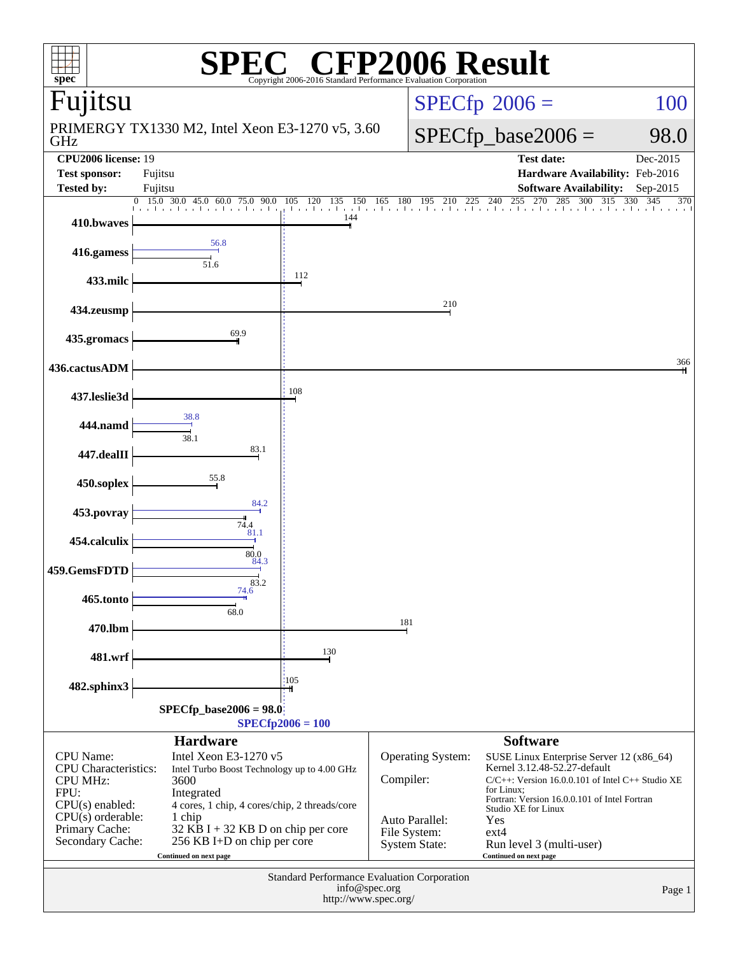| FP2006 Result<br>$spec^*$<br>Copyright 2006-2016 Standard Performance Evaluation Corporation                                                                 |                                                                                                                                                                                                                                                                                        |                                                                                      |                                                                                                   |                                                                                                                                                                                                                                                                                                                  |                                              |                                      |  |  |  |
|--------------------------------------------------------------------------------------------------------------------------------------------------------------|----------------------------------------------------------------------------------------------------------------------------------------------------------------------------------------------------------------------------------------------------------------------------------------|--------------------------------------------------------------------------------------|---------------------------------------------------------------------------------------------------|------------------------------------------------------------------------------------------------------------------------------------------------------------------------------------------------------------------------------------------------------------------------------------------------------------------|----------------------------------------------|--------------------------------------|--|--|--|
| Fujitsu                                                                                                                                                      |                                                                                                                                                                                                                                                                                        |                                                                                      |                                                                                                   | $SPECfp^{\circ}2006 =$<br>100                                                                                                                                                                                                                                                                                    |                                              |                                      |  |  |  |
| GHz                                                                                                                                                          | PRIMERGY TX1330 M2, Intel Xeon E3-1270 v5, 3.60                                                                                                                                                                                                                                        |                                                                                      |                                                                                                   |                                                                                                                                                                                                                                                                                                                  | $SPECfp\_base2006 =$<br>98.0                 |                                      |  |  |  |
| <b>CPU2006 license: 19</b><br><b>Test sponsor:</b><br>Tested by:                                                                                             | Fujitsu<br>Fujitsu                                                                                                                                                                                                                                                                     |                                                                                      | <b>Test date:</b><br>Dec-2015<br>Hardware Availability: Feb-2016<br><b>Software Availability:</b> |                                                                                                                                                                                                                                                                                                                  |                                              |                                      |  |  |  |
|                                                                                                                                                              | $\overline{0}$ 15.0 30.0 45.0 60.0 75.0<br>90.0<br>and and are the search                                                                                                                                                                                                              | 150<br>105<br>120<br>135<br><b>The contractor of the contractor</b>                  | 165<br>180                                                                                        | 195<br>210<br>225                                                                                                                                                                                                                                                                                                | $\overline{3}00$<br>255<br>270<br>285<br>240 | Sep-2015<br>315<br>330<br>345<br>370 |  |  |  |
| 410.bwaves                                                                                                                                                   |                                                                                                                                                                                                                                                                                        | 144                                                                                  |                                                                                                   |                                                                                                                                                                                                                                                                                                                  |                                              |                                      |  |  |  |
| 416.gamess                                                                                                                                                   | 56.8                                                                                                                                                                                                                                                                                   |                                                                                      |                                                                                                   |                                                                                                                                                                                                                                                                                                                  |                                              |                                      |  |  |  |
| 433.milc                                                                                                                                                     | 51.6                                                                                                                                                                                                                                                                                   | 112                                                                                  |                                                                                                   |                                                                                                                                                                                                                                                                                                                  |                                              |                                      |  |  |  |
| 434.zeusmp                                                                                                                                                   |                                                                                                                                                                                                                                                                                        |                                                                                      |                                                                                                   | 210                                                                                                                                                                                                                                                                                                              |                                              |                                      |  |  |  |
| 435.gromacs                                                                                                                                                  | 69.9                                                                                                                                                                                                                                                                                   |                                                                                      |                                                                                                   |                                                                                                                                                                                                                                                                                                                  |                                              |                                      |  |  |  |
| 436.cactusADM                                                                                                                                                |                                                                                                                                                                                                                                                                                        |                                                                                      |                                                                                                   |                                                                                                                                                                                                                                                                                                                  |                                              | 366                                  |  |  |  |
| 437.leslie3d                                                                                                                                                 |                                                                                                                                                                                                                                                                                        | 108                                                                                  |                                                                                                   |                                                                                                                                                                                                                                                                                                                  |                                              |                                      |  |  |  |
| 444.namd                                                                                                                                                     | 38.8                                                                                                                                                                                                                                                                                   |                                                                                      |                                                                                                   |                                                                                                                                                                                                                                                                                                                  |                                              |                                      |  |  |  |
| 447.dealII                                                                                                                                                   | 38.1<br>83.1                                                                                                                                                                                                                                                                           |                                                                                      |                                                                                                   |                                                                                                                                                                                                                                                                                                                  |                                              |                                      |  |  |  |
| 450.soplex                                                                                                                                                   | 55.8                                                                                                                                                                                                                                                                                   |                                                                                      |                                                                                                   |                                                                                                                                                                                                                                                                                                                  |                                              |                                      |  |  |  |
| 453.povray                                                                                                                                                   | 84.2                                                                                                                                                                                                                                                                                   |                                                                                      |                                                                                                   |                                                                                                                                                                                                                                                                                                                  |                                              |                                      |  |  |  |
| 454.calculix                                                                                                                                                 | 74.4<br>81.1                                                                                                                                                                                                                                                                           |                                                                                      |                                                                                                   |                                                                                                                                                                                                                                                                                                                  |                                              |                                      |  |  |  |
| 459.GemsFDTD                                                                                                                                                 | 80.0<br>84.3                                                                                                                                                                                                                                                                           |                                                                                      |                                                                                                   |                                                                                                                                                                                                                                                                                                                  |                                              |                                      |  |  |  |
| 465.tonto                                                                                                                                                    | 83.2<br>74.6                                                                                                                                                                                                                                                                           |                                                                                      |                                                                                                   |                                                                                                                                                                                                                                                                                                                  |                                              |                                      |  |  |  |
| 470.lbm                                                                                                                                                      | 68.0                                                                                                                                                                                                                                                                                   |                                                                                      | 181                                                                                               |                                                                                                                                                                                                                                                                                                                  |                                              |                                      |  |  |  |
| 481.wrf                                                                                                                                                      |                                                                                                                                                                                                                                                                                        | 130                                                                                  |                                                                                                   |                                                                                                                                                                                                                                                                                                                  |                                              |                                      |  |  |  |
| 482.sphinx3                                                                                                                                                  |                                                                                                                                                                                                                                                                                        | 105                                                                                  |                                                                                                   |                                                                                                                                                                                                                                                                                                                  |                                              |                                      |  |  |  |
|                                                                                                                                                              | $SPECfp\_base2006 = 98.0$                                                                                                                                                                                                                                                              |                                                                                      |                                                                                                   |                                                                                                                                                                                                                                                                                                                  |                                              |                                      |  |  |  |
| $SPECfp2006 = 100$<br><b>Hardware</b>                                                                                                                        |                                                                                                                                                                                                                                                                                        |                                                                                      |                                                                                                   |                                                                                                                                                                                                                                                                                                                  |                                              |                                      |  |  |  |
| <b>CPU</b> Name:<br><b>CPU</b> Characteristics:<br><b>CPU MHz:</b><br>FPU:<br>$CPU(s)$ enabled:<br>$CPU(s)$ orderable:<br>Primary Cache:<br>Secondary Cache: | Intel Xeon E3-1270 v5<br>Operating System:<br>Intel Turbo Boost Technology up to 4.00 GHz<br>Compiler:<br>4 cores, 1 chip, 4 cores/chip, 2 threads/core<br>Auto Parallel:<br>32 KB I + 32 KB D on chip per core<br>File System:<br>256 KB I+D on chip per core<br><b>System State:</b> |                                                                                      |                                                                                                   | <b>Software</b><br>SUSE Linux Enterprise Server 12 (x86_64)<br>Kernel 3.12.48-52.27-default<br>$C/C++$ : Version 16.0.0.101 of Intel C++ Studio XE<br>for Linux:<br>Fortran: Version 16.0.0.101 of Intel Fortran<br>Studio XE for Linux<br>Yes<br>$ext{4}$<br>Run level 3 (multi-user)<br>Continued on next page |                                              |                                      |  |  |  |
|                                                                                                                                                              |                                                                                                                                                                                                                                                                                        | Standard Performance Evaluation Corporation<br>info@spec.org<br>http://www.spec.org/ |                                                                                                   |                                                                                                                                                                                                                                                                                                                  |                                              | Page 1                               |  |  |  |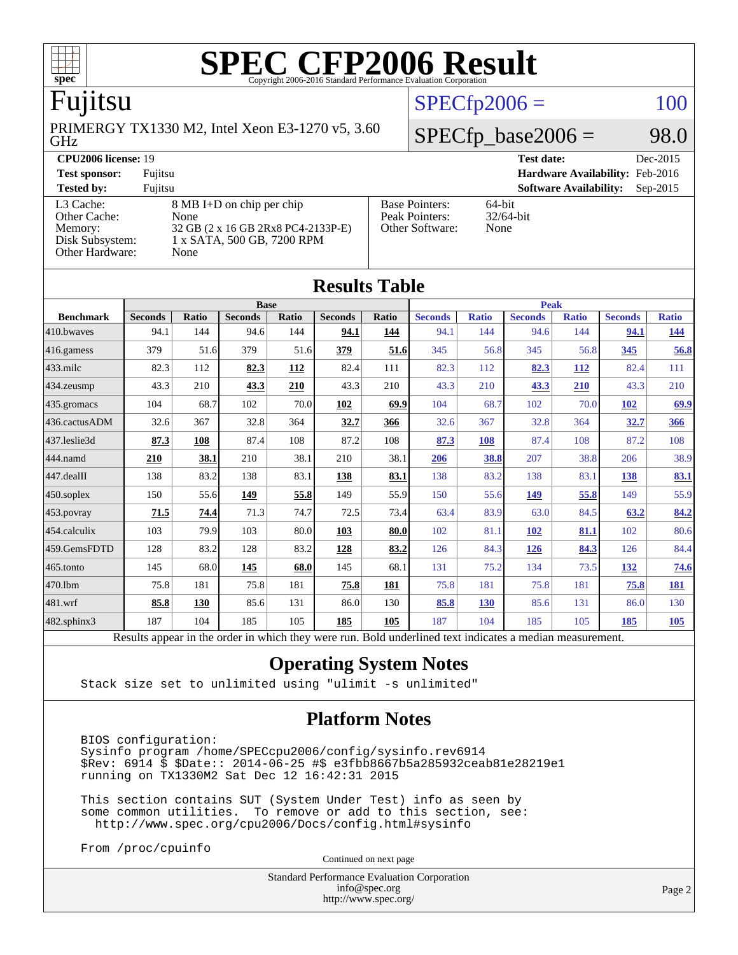

#### Fujitsu

GHz PRIMERGY TX1330 M2, Intel Xeon E3-1270 v5, 3.60

 $SPECfp2006 = 100$  $SPECfp2006 = 100$ 

#### **[CPU2006 license:](http://www.spec.org/auto/cpu2006/Docs/result-fields.html#CPU2006license)** 19 **[Test date:](http://www.spec.org/auto/cpu2006/Docs/result-fields.html#Testdate)** Dec-2015 **[Test sponsor:](http://www.spec.org/auto/cpu2006/Docs/result-fields.html#Testsponsor)** Fujitsu **[Hardware Availability:](http://www.spec.org/auto/cpu2006/Docs/result-fields.html#HardwareAvailability)** Feb-2016 **[Tested by:](http://www.spec.org/auto/cpu2006/Docs/result-fields.html#Testedby)** Fujitsu **[Software Availability:](http://www.spec.org/auto/cpu2006/Docs/result-fields.html#SoftwareAvailability)** Sep-2015 [L3 Cache:](http://www.spec.org/auto/cpu2006/Docs/result-fields.html#L3Cache) 8 MB I+D on chip per chip<br>Other Cache: None [Other Cache:](http://www.spec.org/auto/cpu2006/Docs/result-fields.html#OtherCache) [Memory:](http://www.spec.org/auto/cpu2006/Docs/result-fields.html#Memory) 32 GB (2 x 16 GB 2Rx8 PC4-2133P-E) [Disk Subsystem:](http://www.spec.org/auto/cpu2006/Docs/result-fields.html#DiskSubsystem) 1 x SATA, 500 GB, 7200 RPM [Other Hardware:](http://www.spec.org/auto/cpu2006/Docs/result-fields.html#OtherHardware) None [Base Pointers:](http://www.spec.org/auto/cpu2006/Docs/result-fields.html#BasePointers) 64-bit<br>Peak Pointers: 32/64-bit [Peak Pointers:](http://www.spec.org/auto/cpu2006/Docs/result-fields.html#PeakPointers) [Other Software:](http://www.spec.org/auto/cpu2006/Docs/result-fields.html#OtherSoftware) None

| <b>Results Table</b>                                                                                     |                |              |                |       |                |             |                |              |                |              |                |              |
|----------------------------------------------------------------------------------------------------------|----------------|--------------|----------------|-------|----------------|-------------|----------------|--------------|----------------|--------------|----------------|--------------|
|                                                                                                          | <b>Base</b>    |              |                |       |                | <b>Peak</b> |                |              |                |              |                |              |
| <b>Benchmark</b>                                                                                         | <b>Seconds</b> | <b>Ratio</b> | <b>Seconds</b> | Ratio | <b>Seconds</b> | Ratio       | <b>Seconds</b> | <b>Ratio</b> | <b>Seconds</b> | <b>Ratio</b> | <b>Seconds</b> | <b>Ratio</b> |
| 410.bwayes                                                                                               | 94.1           | 144          | 94.6           | 144   | 94.1           | 144         | 94.1           | 144          | 94.6           | 144          | 94.1           | 144          |
| 416.gamess                                                                                               | 379            | 51.6         | 379            | 51.6  | 379            | 51.6        | 345            | 56.8         | 345            | 56.8         | 345            | 56.8         |
| 433.milc                                                                                                 | 82.3           | 112          | 82.3           | 112   | 82.4           | 111         | 82.3           | 112          | 82.3           | 112          | 82.4           | 111          |
| 434.zeusmp                                                                                               | 43.3           | 210          | 43.3           | 210   | 43.3           | 210         | 43.3           | 210          | 43.3           | 210          | 43.3           | 210          |
| 435.gromacs                                                                                              | 104            | 68.7         | 102            | 70.0  | 102            | 69.9        | 104            | 68.7         | 102            | 70.0         | 102            | 69.9         |
| 436.cactusADM                                                                                            | 32.6           | 367          | 32.8           | 364   | 32.7           | 366         | 32.6           | 367          | 32.8           | 364          | 32.7           | 366          |
| 437.leslie3d                                                                                             | 87.3           | 108          | 87.4           | 108   | 87.2           | 108         | 87.3           | 108          | 87.4           | 108          | 87.2           | 108          |
| 444.namd                                                                                                 | 210            | 38.1         | 210            | 38.1  | 210            | 38.1        | 206            | 38.8         | 207            | 38.8         | 206            | 38.9         |
| 447.dealII                                                                                               | 138            | 83.2         | 138            | 83.1  | 138            | 83.1        | 138            | 83.2         | 138            | 83.1         | 138            | 83.1         |
| 450.soplex                                                                                               | 150            | 55.6         | <u>149</u>     | 55.8  | 149            | 55.9        | 150            | 55.6         | <u> 149</u>    | 55.8         | 149            | 55.9         |
| 453.povray                                                                                               | 71.5           | 74.4         | 71.3           | 74.7  | 72.5           | 73.4        | 63.4           | 83.9         | 63.0           | 84.5         | 63.2           | 84.2         |
| 454.calculix                                                                                             | 103            | 79.9         | 103            | 80.0  | 103            | 80.0        | 102            | 81.1         | 102            | 81.1         | 102            | 80.6         |
| 459.GemsFDTD                                                                                             | 128            | 83.2         | 128            | 83.2  | 128            | 83.2        | 126            | 84.3         | 126            | 84.3         | 126            | 84.4         |
| 465.tonto                                                                                                | 145            | 68.0         | <u>145</u>     | 68.0  | 145            | 68.1        | 131            | 75.2         | 134            | 73.5         | 132            | 74.6         |
| 470.1bm                                                                                                  | 75.8           | 181          | 75.8           | 181   | 75.8           | 181         | 75.8           | 181          | 75.8           | 181          | 75.8           | 181          |
| 481.wrf                                                                                                  | 85.8           | 130          | 85.6           | 131   | 86.0           | 130         | 85.8           | <b>130</b>   | 85.6           | 131          | 86.0           | 130          |
| 482.sphinx3                                                                                              | 187            | 104          | 185            | 105   | 185            | 105         | 187            | 104          | 185            | 105          | 185            | <b>105</b>   |
| Results appear in the order in which they were run. Bold underlined text indicates a median measurement. |                |              |                |       |                |             |                |              |                |              |                |              |

#### **[Operating System Notes](http://www.spec.org/auto/cpu2006/Docs/result-fields.html#OperatingSystemNotes)**

Stack size set to unlimited using "ulimit -s unlimited"

#### **[Platform Notes](http://www.spec.org/auto/cpu2006/Docs/result-fields.html#PlatformNotes)**

 BIOS configuration: Sysinfo program /home/SPECcpu2006/config/sysinfo.rev6914 \$Rev: 6914 \$ \$Date:: 2014-06-25 #\$ e3fbb8667b5a285932ceab81e28219e1 running on TX1330M2 Sat Dec 12 16:42:31 2015

 This section contains SUT (System Under Test) info as seen by some common utilities. To remove or add to this section, see: <http://www.spec.org/cpu2006/Docs/config.html#sysinfo>

From /proc/cpuinfo

Continued on next page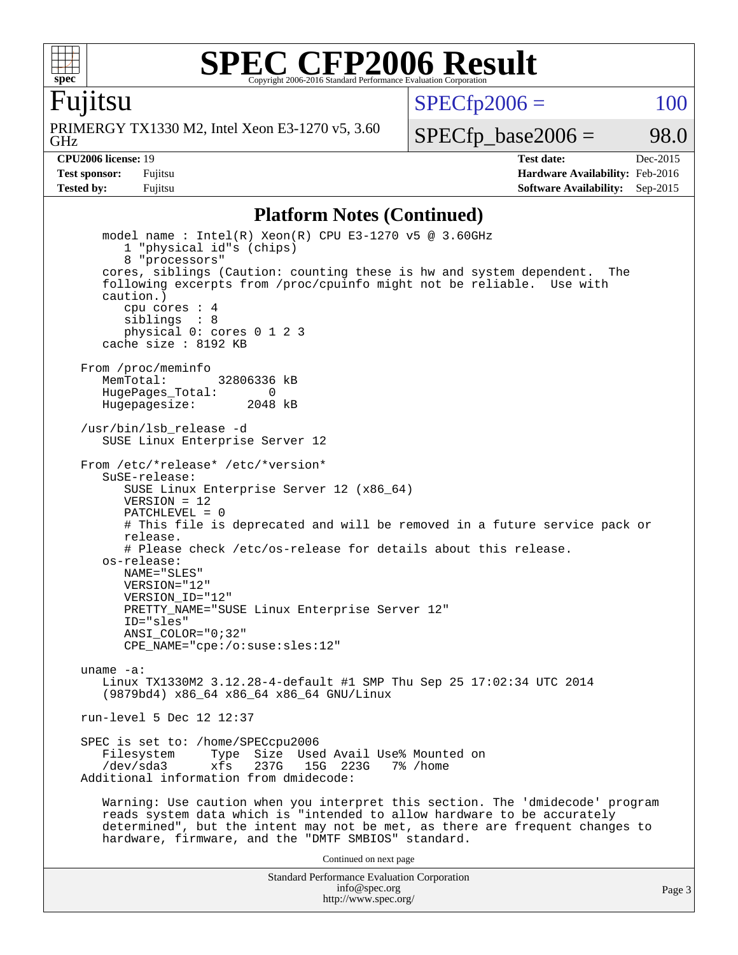

Fujitsu

GHz PRIMERGY TX1330 M2, Intel Xeon E3-1270 v5, 3.60  $SPECTp2006 = 100$ 

 $SPECTp\_base2006 = 98.0$ 

**[CPU2006 license:](http://www.spec.org/auto/cpu2006/Docs/result-fields.html#CPU2006license)** 19 **[Test date:](http://www.spec.org/auto/cpu2006/Docs/result-fields.html#Testdate)** Dec-2015 **[Test sponsor:](http://www.spec.org/auto/cpu2006/Docs/result-fields.html#Testsponsor)** Fujitsu **[Hardware Availability:](http://www.spec.org/auto/cpu2006/Docs/result-fields.html#HardwareAvailability)** Feb-2016 **[Tested by:](http://www.spec.org/auto/cpu2006/Docs/result-fields.html#Testedby)** Fujitsu **Fugital Example 2015 [Software Availability:](http://www.spec.org/auto/cpu2006/Docs/result-fields.html#SoftwareAvailability)** Sep-2015

#### **[Platform Notes \(Continued\)](http://www.spec.org/auto/cpu2006/Docs/result-fields.html#PlatformNotes)**

Standard Performance Evaluation Corporation [info@spec.org](mailto:info@spec.org) model name : Intel(R) Xeon(R) CPU E3-1270 v5 @ 3.60GHz 1 "physical id"s (chips) 8 "processors" cores, siblings (Caution: counting these is hw and system dependent. The following excerpts from /proc/cpuinfo might not be reliable. Use with caution.) cpu cores : 4 siblings : 8 physical 0: cores 0 1 2 3 cache size : 8192 KB From /proc/meminfo MemTotal: 32806336 kB HugePages\_Total: 0<br>Hugepagesize: 2048 kB Hugepagesize: /usr/bin/lsb\_release -d SUSE Linux Enterprise Server 12 From /etc/\*release\* /etc/\*version\* SuSE-release: SUSE Linux Enterprise Server 12 (x86\_64)  $VFRSTON = 12$  PATCHLEVEL = 0 # This file is deprecated and will be removed in a future service pack or release. # Please check /etc/os-release for details about this release. os-release: NAME="SLES" VERSION="12" VERSION\_ID="12" PRETTY\_NAME="SUSE Linux Enterprise Server 12" ID="sles" ANSI\_COLOR="0;32" CPE\_NAME="cpe:/o:suse:sles:12" uname -a: Linux TX1330M2 3.12.28-4-default #1 SMP Thu Sep 25 17:02:34 UTC 2014 (9879bd4) x86\_64 x86\_64 x86\_64 GNU/Linux run-level 5 Dec 12 12:37 SPEC is set to: /home/SPECcpu2006<br>Filesystem Type Size Use Type Size Used Avail Use% Mounted on /dev/sda3 xfs 237G 15G 223G 7% /home Additional information from dmidecode: Warning: Use caution when you interpret this section. The 'dmidecode' program reads system data which is "intended to allow hardware to be accurately determined", but the intent may not be met, as there are frequent changes to hardware, firmware, and the "DMTF SMBIOS" standard. Continued on next page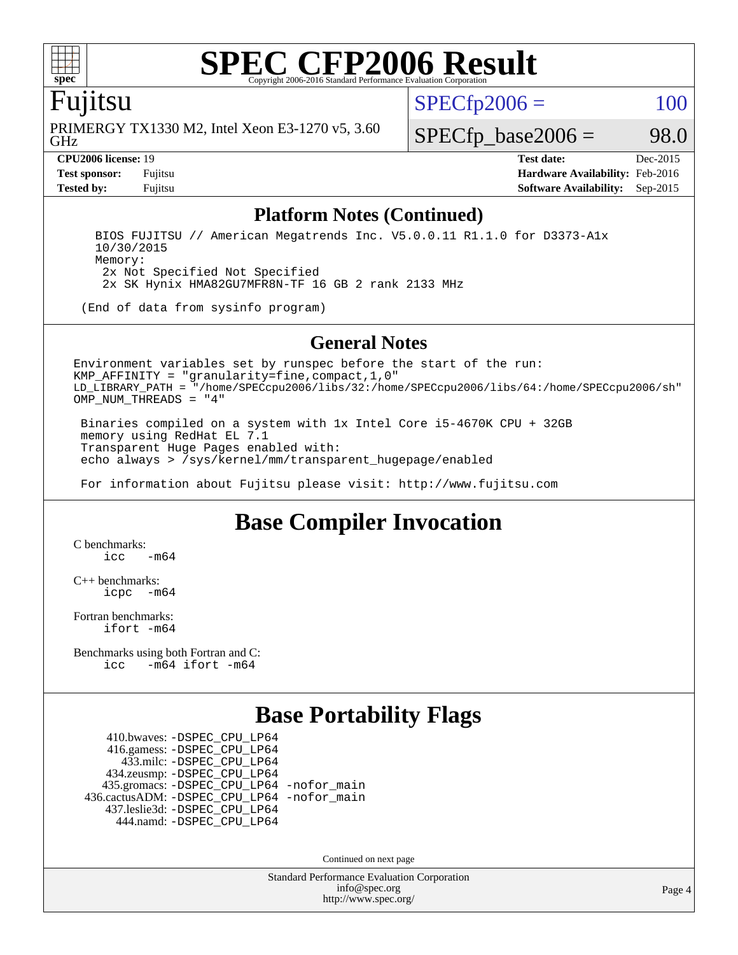

#### Fujitsu

GHz PRIMERGY TX1330 M2, Intel Xeon E3-1270 v5, 3.60  $SPECTp2006 = 100$ 

 $SPECTp\_base2006 = 98.0$ 

**[CPU2006 license:](http://www.spec.org/auto/cpu2006/Docs/result-fields.html#CPU2006license)** 19 **[Test date:](http://www.spec.org/auto/cpu2006/Docs/result-fields.html#Testdate)** Dec-2015 **[Test sponsor:](http://www.spec.org/auto/cpu2006/Docs/result-fields.html#Testsponsor)** Fujitsu **[Hardware Availability:](http://www.spec.org/auto/cpu2006/Docs/result-fields.html#HardwareAvailability)** Feb-2016 **[Tested by:](http://www.spec.org/auto/cpu2006/Docs/result-fields.html#Testedby)** Fujitsu **[Software Availability:](http://www.spec.org/auto/cpu2006/Docs/result-fields.html#SoftwareAvailability)** Sep-2015

#### **[Platform Notes \(Continued\)](http://www.spec.org/auto/cpu2006/Docs/result-fields.html#PlatformNotes)**

 BIOS FUJITSU // American Megatrends Inc. V5.0.0.11 R1.1.0 for D3373-A1x 10/30/2015 Memory: 2x Not Specified Not Specified 2x SK Hynix HMA82GU7MFR8N-TF 16 GB 2 rank 2133 MHz

(End of data from sysinfo program)

#### **[General Notes](http://www.spec.org/auto/cpu2006/Docs/result-fields.html#GeneralNotes)**

Environment variables set by runspec before the start of the run: KMP\_AFFINITY = "granularity=fine,compact,1,0" LD\_LIBRARY\_PATH = "/home/SPECcpu2006/libs/32:/home/SPECcpu2006/libs/64:/home/SPECcpu2006/sh" OMP\_NUM\_THREADS = "4"

 Binaries compiled on a system with 1x Intel Core i5-4670K CPU + 32GB memory using RedHat EL 7.1 Transparent Huge Pages enabled with: echo always > /sys/kernel/mm/transparent\_hugepage/enabled

For information about Fujitsu please visit: <http://www.fujitsu.com>

#### **[Base Compiler Invocation](http://www.spec.org/auto/cpu2006/Docs/result-fields.html#BaseCompilerInvocation)**

[C benchmarks](http://www.spec.org/auto/cpu2006/Docs/result-fields.html#Cbenchmarks):  $\text{icc}$   $-\text{m64}$ 

[C++ benchmarks:](http://www.spec.org/auto/cpu2006/Docs/result-fields.html#CXXbenchmarks) [icpc -m64](http://www.spec.org/cpu2006/results/res2016q1/cpu2006-20160111-38698.flags.html#user_CXXbase_intel_icpc_64bit_bedb90c1146cab66620883ef4f41a67e)

[Fortran benchmarks](http://www.spec.org/auto/cpu2006/Docs/result-fields.html#Fortranbenchmarks): [ifort -m64](http://www.spec.org/cpu2006/results/res2016q1/cpu2006-20160111-38698.flags.html#user_FCbase_intel_ifort_64bit_ee9d0fb25645d0210d97eb0527dcc06e)

[Benchmarks using both Fortran and C](http://www.spec.org/auto/cpu2006/Docs/result-fields.html#BenchmarksusingbothFortranandC): [icc -m64](http://www.spec.org/cpu2006/results/res2016q1/cpu2006-20160111-38698.flags.html#user_CC_FCbase_intel_icc_64bit_0b7121f5ab7cfabee23d88897260401c) [ifort -m64](http://www.spec.org/cpu2006/results/res2016q1/cpu2006-20160111-38698.flags.html#user_CC_FCbase_intel_ifort_64bit_ee9d0fb25645d0210d97eb0527dcc06e)

#### **[Base Portability Flags](http://www.spec.org/auto/cpu2006/Docs/result-fields.html#BasePortabilityFlags)**

 410.bwaves: [-DSPEC\\_CPU\\_LP64](http://www.spec.org/cpu2006/results/res2016q1/cpu2006-20160111-38698.flags.html#suite_basePORTABILITY410_bwaves_DSPEC_CPU_LP64) 416.gamess: [-DSPEC\\_CPU\\_LP64](http://www.spec.org/cpu2006/results/res2016q1/cpu2006-20160111-38698.flags.html#suite_basePORTABILITY416_gamess_DSPEC_CPU_LP64) 433.milc: [-DSPEC\\_CPU\\_LP64](http://www.spec.org/cpu2006/results/res2016q1/cpu2006-20160111-38698.flags.html#suite_basePORTABILITY433_milc_DSPEC_CPU_LP64) 434.zeusmp: [-DSPEC\\_CPU\\_LP64](http://www.spec.org/cpu2006/results/res2016q1/cpu2006-20160111-38698.flags.html#suite_basePORTABILITY434_zeusmp_DSPEC_CPU_LP64) 435.gromacs: [-DSPEC\\_CPU\\_LP64](http://www.spec.org/cpu2006/results/res2016q1/cpu2006-20160111-38698.flags.html#suite_basePORTABILITY435_gromacs_DSPEC_CPU_LP64) [-nofor\\_main](http://www.spec.org/cpu2006/results/res2016q1/cpu2006-20160111-38698.flags.html#user_baseLDPORTABILITY435_gromacs_f-nofor_main) 436.cactusADM: [-DSPEC\\_CPU\\_LP64](http://www.spec.org/cpu2006/results/res2016q1/cpu2006-20160111-38698.flags.html#suite_basePORTABILITY436_cactusADM_DSPEC_CPU_LP64) [-nofor\\_main](http://www.spec.org/cpu2006/results/res2016q1/cpu2006-20160111-38698.flags.html#user_baseLDPORTABILITY436_cactusADM_f-nofor_main) 437.leslie3d: [-DSPEC\\_CPU\\_LP64](http://www.spec.org/cpu2006/results/res2016q1/cpu2006-20160111-38698.flags.html#suite_basePORTABILITY437_leslie3d_DSPEC_CPU_LP64) 444.namd: [-DSPEC\\_CPU\\_LP64](http://www.spec.org/cpu2006/results/res2016q1/cpu2006-20160111-38698.flags.html#suite_basePORTABILITY444_namd_DSPEC_CPU_LP64)

Continued on next page

Standard Performance Evaluation Corporation [info@spec.org](mailto:info@spec.org) <http://www.spec.org/>

Page 4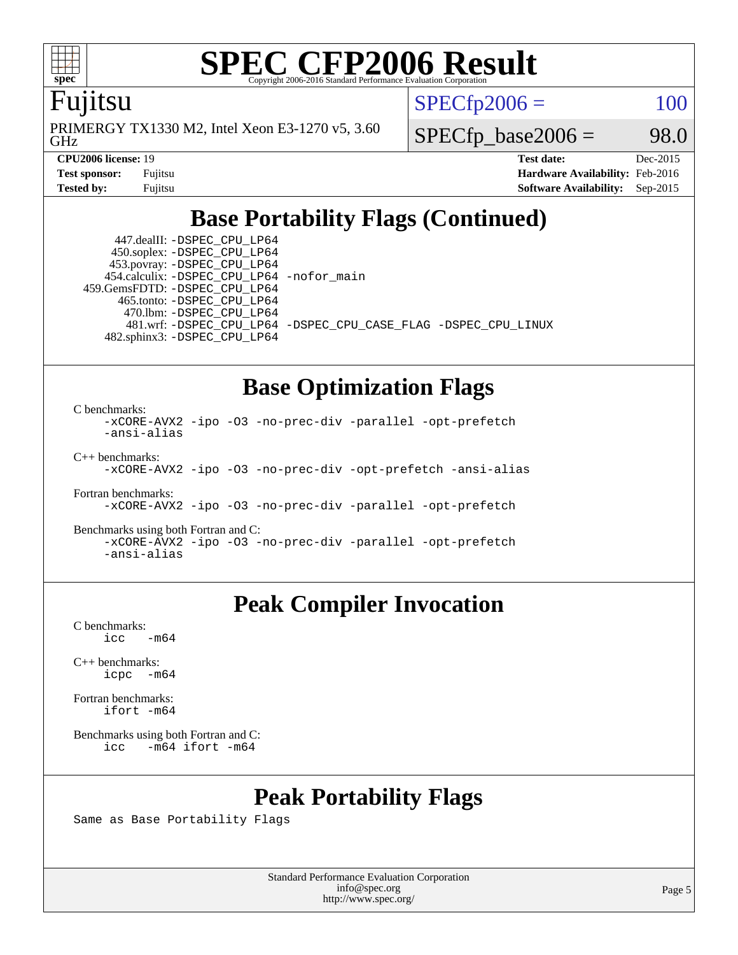

#### Fujitsu

GHz PRIMERGY TX1330 M2, Intel Xeon E3-1270 v5, 3.60  $SPECTp2006 = 100$ 

 $SPECTp\_base2006 = 98.0$ 

**[CPU2006 license:](http://www.spec.org/auto/cpu2006/Docs/result-fields.html#CPU2006license)** 19 **[Test date:](http://www.spec.org/auto/cpu2006/Docs/result-fields.html#Testdate)** Dec-2015 **[Test sponsor:](http://www.spec.org/auto/cpu2006/Docs/result-fields.html#Testsponsor)** Fujitsu **[Hardware Availability:](http://www.spec.org/auto/cpu2006/Docs/result-fields.html#HardwareAvailability)** Feb-2016 **[Tested by:](http://www.spec.org/auto/cpu2006/Docs/result-fields.html#Testedby)** Fujitsu **[Software Availability:](http://www.spec.org/auto/cpu2006/Docs/result-fields.html#SoftwareAvailability)** Sep-2015

### **[Base Portability Flags \(Continued\)](http://www.spec.org/auto/cpu2006/Docs/result-fields.html#BasePortabilityFlags)**

 447.dealII: [-DSPEC\\_CPU\\_LP64](http://www.spec.org/cpu2006/results/res2016q1/cpu2006-20160111-38698.flags.html#suite_basePORTABILITY447_dealII_DSPEC_CPU_LP64) 450.soplex: [-DSPEC\\_CPU\\_LP64](http://www.spec.org/cpu2006/results/res2016q1/cpu2006-20160111-38698.flags.html#suite_basePORTABILITY450_soplex_DSPEC_CPU_LP64) 453.povray: [-DSPEC\\_CPU\\_LP64](http://www.spec.org/cpu2006/results/res2016q1/cpu2006-20160111-38698.flags.html#suite_basePORTABILITY453_povray_DSPEC_CPU_LP64) 454.calculix: [-DSPEC\\_CPU\\_LP64](http://www.spec.org/cpu2006/results/res2016q1/cpu2006-20160111-38698.flags.html#suite_basePORTABILITY454_calculix_DSPEC_CPU_LP64) [-nofor\\_main](http://www.spec.org/cpu2006/results/res2016q1/cpu2006-20160111-38698.flags.html#user_baseLDPORTABILITY454_calculix_f-nofor_main) 459.GemsFDTD: [-DSPEC\\_CPU\\_LP64](http://www.spec.org/cpu2006/results/res2016q1/cpu2006-20160111-38698.flags.html#suite_basePORTABILITY459_GemsFDTD_DSPEC_CPU_LP64) 465.tonto: [-DSPEC\\_CPU\\_LP64](http://www.spec.org/cpu2006/results/res2016q1/cpu2006-20160111-38698.flags.html#suite_basePORTABILITY465_tonto_DSPEC_CPU_LP64) 470.lbm: [-DSPEC\\_CPU\\_LP64](http://www.spec.org/cpu2006/results/res2016q1/cpu2006-20160111-38698.flags.html#suite_basePORTABILITY470_lbm_DSPEC_CPU_LP64) 481.wrf: [-DSPEC\\_CPU\\_LP64](http://www.spec.org/cpu2006/results/res2016q1/cpu2006-20160111-38698.flags.html#suite_basePORTABILITY481_wrf_DSPEC_CPU_LP64) [-DSPEC\\_CPU\\_CASE\\_FLAG](http://www.spec.org/cpu2006/results/res2016q1/cpu2006-20160111-38698.flags.html#b481.wrf_baseCPORTABILITY_DSPEC_CPU_CASE_FLAG) [-DSPEC\\_CPU\\_LINUX](http://www.spec.org/cpu2006/results/res2016q1/cpu2006-20160111-38698.flags.html#b481.wrf_baseCPORTABILITY_DSPEC_CPU_LINUX) 482.sphinx3: [-DSPEC\\_CPU\\_LP64](http://www.spec.org/cpu2006/results/res2016q1/cpu2006-20160111-38698.flags.html#suite_basePORTABILITY482_sphinx3_DSPEC_CPU_LP64)

#### **[Base Optimization Flags](http://www.spec.org/auto/cpu2006/Docs/result-fields.html#BaseOptimizationFlags)**

[C benchmarks](http://www.spec.org/auto/cpu2006/Docs/result-fields.html#Cbenchmarks):

[-xCORE-AVX2](http://www.spec.org/cpu2006/results/res2016q1/cpu2006-20160111-38698.flags.html#user_CCbase_f-xAVX2_5f5fc0cbe2c9f62c816d3e45806c70d7) [-ipo](http://www.spec.org/cpu2006/results/res2016q1/cpu2006-20160111-38698.flags.html#user_CCbase_f-ipo) [-O3](http://www.spec.org/cpu2006/results/res2016q1/cpu2006-20160111-38698.flags.html#user_CCbase_f-O3) [-no-prec-div](http://www.spec.org/cpu2006/results/res2016q1/cpu2006-20160111-38698.flags.html#user_CCbase_f-no-prec-div) [-parallel](http://www.spec.org/cpu2006/results/res2016q1/cpu2006-20160111-38698.flags.html#user_CCbase_f-parallel) [-opt-prefetch](http://www.spec.org/cpu2006/results/res2016q1/cpu2006-20160111-38698.flags.html#user_CCbase_f-opt-prefetch) [-ansi-alias](http://www.spec.org/cpu2006/results/res2016q1/cpu2006-20160111-38698.flags.html#user_CCbase_f-ansi-alias) [C++ benchmarks:](http://www.spec.org/auto/cpu2006/Docs/result-fields.html#CXXbenchmarks) [-xCORE-AVX2](http://www.spec.org/cpu2006/results/res2016q1/cpu2006-20160111-38698.flags.html#user_CXXbase_f-xAVX2_5f5fc0cbe2c9f62c816d3e45806c70d7) [-ipo](http://www.spec.org/cpu2006/results/res2016q1/cpu2006-20160111-38698.flags.html#user_CXXbase_f-ipo) [-O3](http://www.spec.org/cpu2006/results/res2016q1/cpu2006-20160111-38698.flags.html#user_CXXbase_f-O3) [-no-prec-div](http://www.spec.org/cpu2006/results/res2016q1/cpu2006-20160111-38698.flags.html#user_CXXbase_f-no-prec-div) [-opt-prefetch](http://www.spec.org/cpu2006/results/res2016q1/cpu2006-20160111-38698.flags.html#user_CXXbase_f-opt-prefetch) [-ansi-alias](http://www.spec.org/cpu2006/results/res2016q1/cpu2006-20160111-38698.flags.html#user_CXXbase_f-ansi-alias)

[Fortran benchmarks](http://www.spec.org/auto/cpu2006/Docs/result-fields.html#Fortranbenchmarks):

[-xCORE-AVX2](http://www.spec.org/cpu2006/results/res2016q1/cpu2006-20160111-38698.flags.html#user_FCbase_f-xAVX2_5f5fc0cbe2c9f62c816d3e45806c70d7) [-ipo](http://www.spec.org/cpu2006/results/res2016q1/cpu2006-20160111-38698.flags.html#user_FCbase_f-ipo) [-O3](http://www.spec.org/cpu2006/results/res2016q1/cpu2006-20160111-38698.flags.html#user_FCbase_f-O3) [-no-prec-div](http://www.spec.org/cpu2006/results/res2016q1/cpu2006-20160111-38698.flags.html#user_FCbase_f-no-prec-div) [-parallel](http://www.spec.org/cpu2006/results/res2016q1/cpu2006-20160111-38698.flags.html#user_FCbase_f-parallel) [-opt-prefetch](http://www.spec.org/cpu2006/results/res2016q1/cpu2006-20160111-38698.flags.html#user_FCbase_f-opt-prefetch)

[Benchmarks using both Fortran and C](http://www.spec.org/auto/cpu2006/Docs/result-fields.html#BenchmarksusingbothFortranandC):

[-xCORE-AVX2](http://www.spec.org/cpu2006/results/res2016q1/cpu2006-20160111-38698.flags.html#user_CC_FCbase_f-xAVX2_5f5fc0cbe2c9f62c816d3e45806c70d7) [-ipo](http://www.spec.org/cpu2006/results/res2016q1/cpu2006-20160111-38698.flags.html#user_CC_FCbase_f-ipo) [-O3](http://www.spec.org/cpu2006/results/res2016q1/cpu2006-20160111-38698.flags.html#user_CC_FCbase_f-O3) [-no-prec-div](http://www.spec.org/cpu2006/results/res2016q1/cpu2006-20160111-38698.flags.html#user_CC_FCbase_f-no-prec-div) [-parallel](http://www.spec.org/cpu2006/results/res2016q1/cpu2006-20160111-38698.flags.html#user_CC_FCbase_f-parallel) [-opt-prefetch](http://www.spec.org/cpu2006/results/res2016q1/cpu2006-20160111-38698.flags.html#user_CC_FCbase_f-opt-prefetch) [-ansi-alias](http://www.spec.org/cpu2006/results/res2016q1/cpu2006-20160111-38698.flags.html#user_CC_FCbase_f-ansi-alias)

#### **[Peak Compiler Invocation](http://www.spec.org/auto/cpu2006/Docs/result-fields.html#PeakCompilerInvocation)**

[C benchmarks](http://www.spec.org/auto/cpu2006/Docs/result-fields.html#Cbenchmarks):  $\text{icc}$  -m64

[C++ benchmarks:](http://www.spec.org/auto/cpu2006/Docs/result-fields.html#CXXbenchmarks) [icpc -m64](http://www.spec.org/cpu2006/results/res2016q1/cpu2006-20160111-38698.flags.html#user_CXXpeak_intel_icpc_64bit_bedb90c1146cab66620883ef4f41a67e)

[Fortran benchmarks](http://www.spec.org/auto/cpu2006/Docs/result-fields.html#Fortranbenchmarks): [ifort -m64](http://www.spec.org/cpu2006/results/res2016q1/cpu2006-20160111-38698.flags.html#user_FCpeak_intel_ifort_64bit_ee9d0fb25645d0210d97eb0527dcc06e)

[Benchmarks using both Fortran and C](http://www.spec.org/auto/cpu2006/Docs/result-fields.html#BenchmarksusingbothFortranandC): [icc -m64](http://www.spec.org/cpu2006/results/res2016q1/cpu2006-20160111-38698.flags.html#user_CC_FCpeak_intel_icc_64bit_0b7121f5ab7cfabee23d88897260401c) [ifort -m64](http://www.spec.org/cpu2006/results/res2016q1/cpu2006-20160111-38698.flags.html#user_CC_FCpeak_intel_ifort_64bit_ee9d0fb25645d0210d97eb0527dcc06e)

#### **[Peak Portability Flags](http://www.spec.org/auto/cpu2006/Docs/result-fields.html#PeakPortabilityFlags)**

Same as Base Portability Flags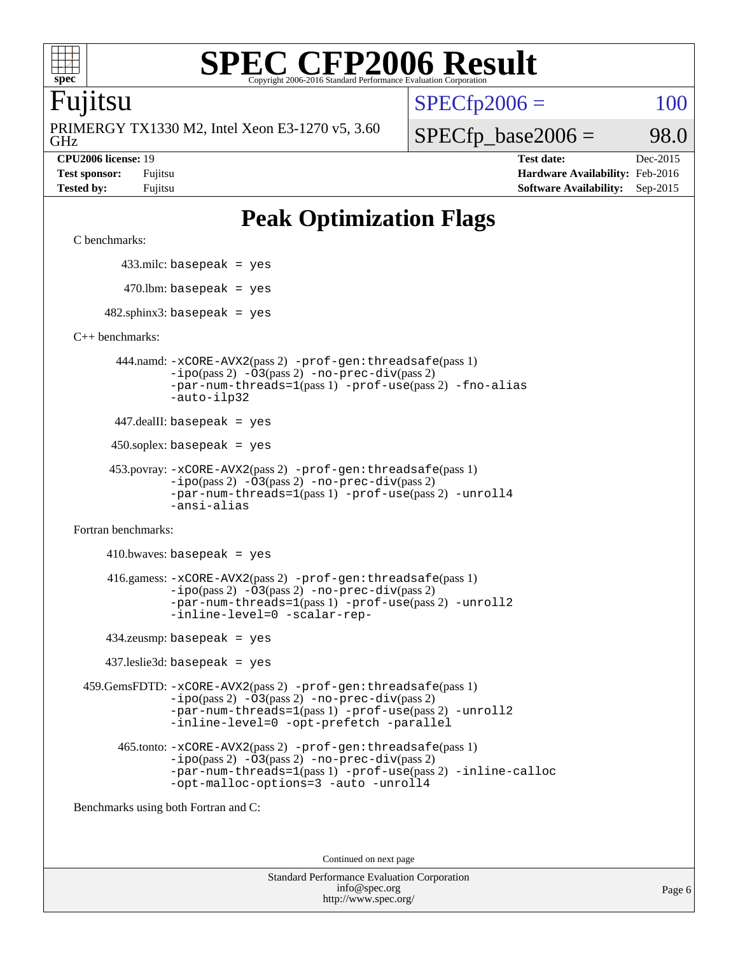

#### Fujitsu

GHz PRIMERGY TX1330 M2, Intel Xeon E3-1270 v5, 3.60  $SPECTp2006 = 100$ 

 $SPECfp\_base2006 = 98.0$ 

**[CPU2006 license:](http://www.spec.org/auto/cpu2006/Docs/result-fields.html#CPU2006license)** 19 **[Test date:](http://www.spec.org/auto/cpu2006/Docs/result-fields.html#Testdate)** Dec-2015 **[Test sponsor:](http://www.spec.org/auto/cpu2006/Docs/result-fields.html#Testsponsor)** Fujitsu **[Hardware Availability:](http://www.spec.org/auto/cpu2006/Docs/result-fields.html#HardwareAvailability)** Feb-2016 **[Tested by:](http://www.spec.org/auto/cpu2006/Docs/result-fields.html#Testedby)** Fujitsu **[Software Availability:](http://www.spec.org/auto/cpu2006/Docs/result-fields.html#SoftwareAvailability)** Sep-2015

### **[Peak Optimization Flags](http://www.spec.org/auto/cpu2006/Docs/result-fields.html#PeakOptimizationFlags)**

```
C benchmarks:
```
433.milc: basepeak = yes

 $470.$ lbm: basepeak = yes

 $482$ .sphinx3: basepeak = yes

[C++ benchmarks:](http://www.spec.org/auto/cpu2006/Docs/result-fields.html#CXXbenchmarks)

 444.namd: [-xCORE-AVX2](http://www.spec.org/cpu2006/results/res2016q1/cpu2006-20160111-38698.flags.html#user_peakPASS2_CXXFLAGSPASS2_LDFLAGS444_namd_f-xAVX2_5f5fc0cbe2c9f62c816d3e45806c70d7)(pass 2) [-prof-gen:threadsafe](http://www.spec.org/cpu2006/results/res2016q1/cpu2006-20160111-38698.flags.html#user_peakPASS1_CXXFLAGSPASS1_LDFLAGS444_namd_prof_gen_21a26eb79f378b550acd7bec9fe4467a)(pass 1) [-ipo](http://www.spec.org/cpu2006/results/res2016q1/cpu2006-20160111-38698.flags.html#user_peakPASS2_CXXFLAGSPASS2_LDFLAGS444_namd_f-ipo)(pass 2) [-O3](http://www.spec.org/cpu2006/results/res2016q1/cpu2006-20160111-38698.flags.html#user_peakPASS2_CXXFLAGSPASS2_LDFLAGS444_namd_f-O3)(pass 2) [-no-prec-div](http://www.spec.org/cpu2006/results/res2016q1/cpu2006-20160111-38698.flags.html#user_peakPASS2_CXXFLAGSPASS2_LDFLAGS444_namd_f-no-prec-div)(pass 2) [-par-num-threads=1](http://www.spec.org/cpu2006/results/res2016q1/cpu2006-20160111-38698.flags.html#user_peakPASS1_CXXFLAGSPASS1_LDFLAGS444_namd_par_num_threads_786a6ff141b4e9e90432e998842df6c2)(pass 1) [-prof-use](http://www.spec.org/cpu2006/results/res2016q1/cpu2006-20160111-38698.flags.html#user_peakPASS2_CXXFLAGSPASS2_LDFLAGS444_namd_prof_use_bccf7792157ff70d64e32fe3e1250b55)(pass 2) [-fno-alias](http://www.spec.org/cpu2006/results/res2016q1/cpu2006-20160111-38698.flags.html#user_peakCXXOPTIMIZEOPTIMIZE444_namd_f-no-alias_694e77f6c5a51e658e82ccff53a9e63a) [-auto-ilp32](http://www.spec.org/cpu2006/results/res2016q1/cpu2006-20160111-38698.flags.html#user_peakCXXOPTIMIZE444_namd_f-auto-ilp32)

447.dealII: basepeak = yes

450.soplex: basepeak = yes

```
 453.povray: -xCORE-AVX2(pass 2) -prof-gen:threadsafe(pass 1)
-ipo(pass 2) -O3(pass 2) -no-prec-div(pass 2)
-par-num-threads=1(pass 1) -prof-use(pass 2) -unroll4
-ansi-alias
```
[Fortran benchmarks](http://www.spec.org/auto/cpu2006/Docs/result-fields.html#Fortranbenchmarks):

 $410.bwaves: basepeak = yes$  416.gamess: [-xCORE-AVX2](http://www.spec.org/cpu2006/results/res2016q1/cpu2006-20160111-38698.flags.html#user_peakPASS2_FFLAGSPASS2_LDFLAGS416_gamess_f-xAVX2_5f5fc0cbe2c9f62c816d3e45806c70d7)(pass 2) [-prof-gen:threadsafe](http://www.spec.org/cpu2006/results/res2016q1/cpu2006-20160111-38698.flags.html#user_peakPASS1_FFLAGSPASS1_LDFLAGS416_gamess_prof_gen_21a26eb79f378b550acd7bec9fe4467a)(pass 1)  $-i\text{po}(pass 2) -\text{O3}(pass 2)$  [-no-prec-div](http://www.spec.org/cpu2006/results/res2016q1/cpu2006-20160111-38698.flags.html#user_peakPASS2_FFLAGSPASS2_LDFLAGS416_gamess_f-no-prec-div)(pass 2) [-par-num-threads=1](http://www.spec.org/cpu2006/results/res2016q1/cpu2006-20160111-38698.flags.html#user_peakPASS1_FFLAGSPASS1_LDFLAGS416_gamess_par_num_threads_786a6ff141b4e9e90432e998842df6c2)(pass 1) [-prof-use](http://www.spec.org/cpu2006/results/res2016q1/cpu2006-20160111-38698.flags.html#user_peakPASS2_FFLAGSPASS2_LDFLAGS416_gamess_prof_use_bccf7792157ff70d64e32fe3e1250b55)(pass 2) [-unroll2](http://www.spec.org/cpu2006/results/res2016q1/cpu2006-20160111-38698.flags.html#user_peakOPTIMIZE416_gamess_f-unroll_784dae83bebfb236979b41d2422d7ec2) [-inline-level=0](http://www.spec.org/cpu2006/results/res2016q1/cpu2006-20160111-38698.flags.html#user_peakOPTIMIZE416_gamess_f-inline-level_318d07a09274ad25e8d15dbfaa68ba50) [-scalar-rep-](http://www.spec.org/cpu2006/results/res2016q1/cpu2006-20160111-38698.flags.html#user_peakOPTIMIZE416_gamess_f-disablescalarrep_abbcad04450fb118e4809c81d83c8a1d)

434.zeusmp: basepeak = yes

437.leslie3d: basepeak = yes

 459.GemsFDTD: [-xCORE-AVX2](http://www.spec.org/cpu2006/results/res2016q1/cpu2006-20160111-38698.flags.html#user_peakPASS2_FFLAGSPASS2_LDFLAGS459_GemsFDTD_f-xAVX2_5f5fc0cbe2c9f62c816d3e45806c70d7)(pass 2) [-prof-gen:threadsafe](http://www.spec.org/cpu2006/results/res2016q1/cpu2006-20160111-38698.flags.html#user_peakPASS1_FFLAGSPASS1_LDFLAGS459_GemsFDTD_prof_gen_21a26eb79f378b550acd7bec9fe4467a)(pass 1)  $-i\text{po}(pass 2) -03(pass 2) -no-prec-div(pass 2)$  $-i\text{po}(pass 2) -03(pass 2) -no-prec-div(pass 2)$  $-i\text{po}(pass 2) -03(pass 2) -no-prec-div(pass 2)$ [-par-num-threads=1](http://www.spec.org/cpu2006/results/res2016q1/cpu2006-20160111-38698.flags.html#user_peakPASS1_FFLAGSPASS1_LDFLAGS459_GemsFDTD_par_num_threads_786a6ff141b4e9e90432e998842df6c2)(pass 1) [-prof-use](http://www.spec.org/cpu2006/results/res2016q1/cpu2006-20160111-38698.flags.html#user_peakPASS2_FFLAGSPASS2_LDFLAGS459_GemsFDTD_prof_use_bccf7792157ff70d64e32fe3e1250b55)(pass 2) [-unroll2](http://www.spec.org/cpu2006/results/res2016q1/cpu2006-20160111-38698.flags.html#user_peakOPTIMIZE459_GemsFDTD_f-unroll_784dae83bebfb236979b41d2422d7ec2) [-inline-level=0](http://www.spec.org/cpu2006/results/res2016q1/cpu2006-20160111-38698.flags.html#user_peakOPTIMIZE459_GemsFDTD_f-inline-level_318d07a09274ad25e8d15dbfaa68ba50) [-opt-prefetch](http://www.spec.org/cpu2006/results/res2016q1/cpu2006-20160111-38698.flags.html#user_peakOPTIMIZE459_GemsFDTD_f-opt-prefetch) [-parallel](http://www.spec.org/cpu2006/results/res2016q1/cpu2006-20160111-38698.flags.html#user_peakOPTIMIZE459_GemsFDTD_f-parallel)

 465.tonto: [-xCORE-AVX2](http://www.spec.org/cpu2006/results/res2016q1/cpu2006-20160111-38698.flags.html#user_peakPASS2_FFLAGSPASS2_LDFLAGS465_tonto_f-xAVX2_5f5fc0cbe2c9f62c816d3e45806c70d7)(pass 2) [-prof-gen:threadsafe](http://www.spec.org/cpu2006/results/res2016q1/cpu2006-20160111-38698.flags.html#user_peakPASS1_FFLAGSPASS1_LDFLAGS465_tonto_prof_gen_21a26eb79f378b550acd7bec9fe4467a)(pass 1)  $-i\text{po}(pass 2) -\overline{0}3(pass 2) -no-prec-div(pass 2)$  $-i\text{po}(pass 2) -\overline{0}3(pass 2) -no-prec-div(pass 2)$  $-i\text{po}(pass 2) -\overline{0}3(pass 2) -no-prec-div(pass 2)$ [-par-num-threads=1](http://www.spec.org/cpu2006/results/res2016q1/cpu2006-20160111-38698.flags.html#user_peakPASS1_FFLAGSPASS1_LDFLAGS465_tonto_par_num_threads_786a6ff141b4e9e90432e998842df6c2)(pass 1) [-prof-use](http://www.spec.org/cpu2006/results/res2016q1/cpu2006-20160111-38698.flags.html#user_peakPASS2_FFLAGSPASS2_LDFLAGS465_tonto_prof_use_bccf7792157ff70d64e32fe3e1250b55)(pass 2) [-inline-calloc](http://www.spec.org/cpu2006/results/res2016q1/cpu2006-20160111-38698.flags.html#user_peakOPTIMIZE465_tonto_f-inline-calloc) [-opt-malloc-options=3](http://www.spec.org/cpu2006/results/res2016q1/cpu2006-20160111-38698.flags.html#user_peakOPTIMIZE465_tonto_f-opt-malloc-options_13ab9b803cf986b4ee62f0a5998c2238) [-auto](http://www.spec.org/cpu2006/results/res2016q1/cpu2006-20160111-38698.flags.html#user_peakOPTIMIZE465_tonto_f-auto) [-unroll4](http://www.spec.org/cpu2006/results/res2016q1/cpu2006-20160111-38698.flags.html#user_peakOPTIMIZE465_tonto_f-unroll_4e5e4ed65b7fd20bdcd365bec371b81f)

[Benchmarks using both Fortran and C](http://www.spec.org/auto/cpu2006/Docs/result-fields.html#BenchmarksusingbothFortranandC):

Continued on next page